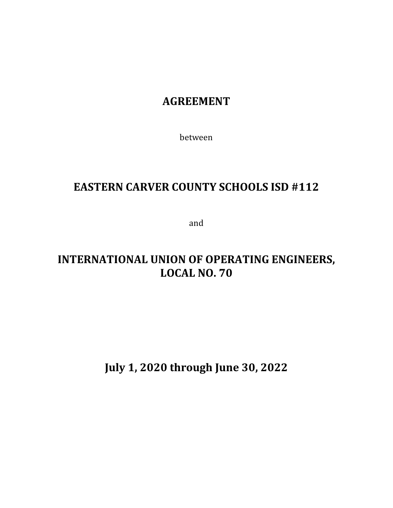## **AGREEMENT**

between

## **EASTERN CARVER COUNTY SCHOOLS ISD #112**

and

# **INTERNATIONAL UNION OF OPERATING ENGINEERS, LOCAL NO. 70**

**July 1, 2020 through June 30, 2022**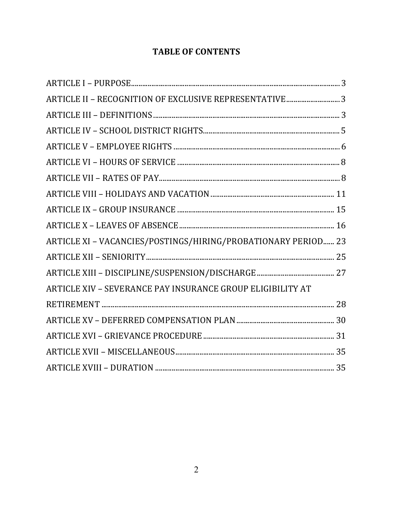## **TABLE OF CONTENTS**

| ARTICLE II - RECOGNITION OF EXCLUSIVE REPRESENTATIVE 3        |  |
|---------------------------------------------------------------|--|
|                                                               |  |
|                                                               |  |
|                                                               |  |
|                                                               |  |
|                                                               |  |
|                                                               |  |
|                                                               |  |
|                                                               |  |
| ARTICLE XI - VACANCIES/POSTINGS/HIRING/PROBATIONARY PERIOD 23 |  |
|                                                               |  |
|                                                               |  |
| ARTICLE XIV - SEVERANCE PAY INSURANCE GROUP ELIGIBILITY AT    |  |
|                                                               |  |
|                                                               |  |
|                                                               |  |
|                                                               |  |
|                                                               |  |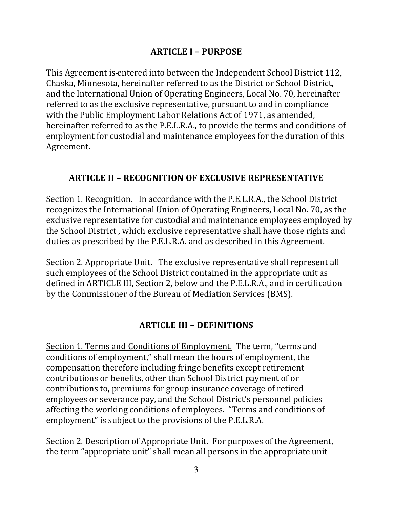## **ARTICLE I – PURPOSE**

This Agreement is entered into between the Independent School District 112, Chaska, Minnesota, hereinafter referred to as the District or School District, and the International Union of Operating Engineers, Local No. 70, hereinafter referred to as the exclusive representative, pursuant to and in compliance with the Public Employment Labor Relations Act of 1971, as amended, hereinafter referred to as the P.E.L.R.A., to provide the terms and conditions of employment for custodial and maintenance employees for the duration of this Agreement.

## **ARTICLE II - RECOGNITION OF EXCLUSIVE REPRESENTATIVE**

Section 1. Recognition. In accordance with the P.E.L.R.A., the School District recognizes the International Union of Operating Engineers, Local No. 70, as the exclusive representative for custodial and maintenance employees employed by the School District , which exclusive representative shall have those rights and duties as prescribed by the P.E.L.R.A. and as described in this Agreement.

Section 2. Appropriate Unit. The exclusive representative shall represent all such employees of the School District contained in the appropriate unit as defined in ARTICLE III, Section 2, below and the P.E.L.R.A., and in certification by the Commissioner of the Bureau of Mediation Services (BMS).

## **ARTICLE III – DEFINITIONS**

Section 1. Terms and Conditions of Employment. The term, "terms and conditions of employment," shall mean the hours of employment, the compensation therefore including fringe benefits except retirement contributions or benefits, other than School District payment of or contributions to, premiums for group insurance coverage of retired employees or severance pay, and the School District's personnel policies affecting the working conditions of employees. "Terms and conditions of employment" is subject to the provisions of the P.E.L.R.A.

Section 2. Description of Appropriate Unit. For purposes of the Agreement, the term "appropriate unit" shall mean all persons in the appropriate unit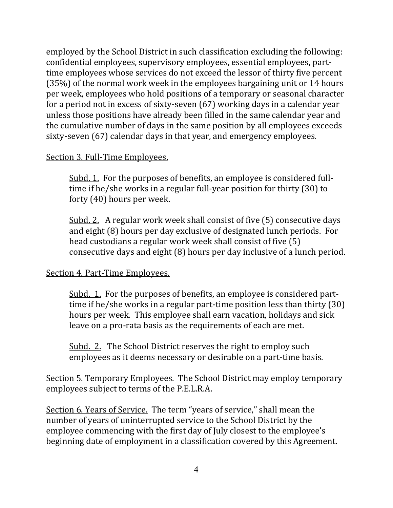employed by the School District in such classification excluding the following: confidential employees, supervisory employees, essential employees, parttime employees whose services do not exceed the lessor of thirty five percent (35%) of the normal work week in the employees bargaining unit or 14 hours per week, employees who hold positions of a temporary or seasonal character for a period not in excess of sixty-seven (67) working days in a calendar year unless those positions have already been filled in the same calendar year and the cumulative number of days in the same position by all employees exceeds sixty-seven (67) calendar days in that year, and emergency employees.

#### Section 3. Full-Time Employees.

Subd. 1. For the purposes of benefits, an-employee is considered fulltime if he/she works in a regular full-year position for thirty (30) to forty (40) hours per week.

Subd. 2. A regular work week shall consist of five (5) consecutive days and eight (8) hours per day exclusive of designated lunch periods. For head custodians a regular work week shall consist of five (5) consecutive days and eight (8) hours per day inclusive of a lunch period.

## Section 4. Part-Time Employees.

Subd. 1. For the purposes of benefits, an employee is considered parttime if he/she works in a regular part-time position less than thirty (30) hours per week. This employee shall earn vacation, holidays and sick leave on a pro-rata basis as the requirements of each are met.

Subd. 2. The School District reserves the right to employ such employees as it deems necessary or desirable on a part-time basis.

Section 5. Temporary Employees. The School District may employ temporary employees subject to terms of the P.E.L.R.A.

Section 6. Years of Service. The term "years of service," shall mean the number of years of uninterrupted service to the School District by the employee commencing with the first day of July closest to the employee's beginning date of employment in a classification covered by this Agreement.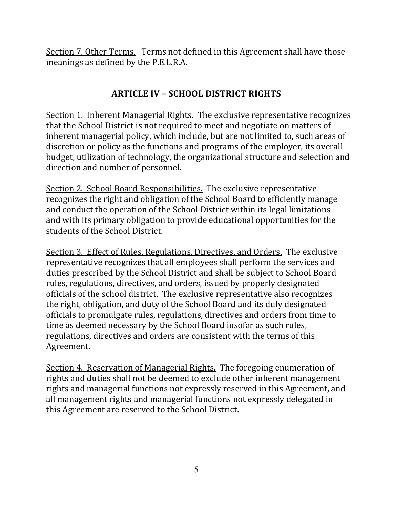Section 7. Other Terms. Terms not defined in this Agreement shall have those meanings as defined by the P.E.L.R.A.

## **ARTICLE IV – SCHOOL DISTRICT RIGHTS**

Section 1. Inherent Managerial Rights. The exclusive representative recognizes that the School District is not required to meet and negotiate on matters of inherent managerial policy, which include, but are not limited to, such areas of discretion or policy as the functions and programs of the employer, its overall budget, utilization of technology, the organizational structure and selection and direction and number of personnel.

Section 2. School Board Responsibilities. The exclusive representative recognizes the right and obligation of the School Board to efficiently manage and conduct the operation of the School District within its legal limitations and with its primary obligation to provide educational opportunities for the students of the School District.

Section 3. Effect of Rules, Regulations, Directives, and Orders. The exclusive representative recognizes that all employees shall perform the services and duties prescribed by the School District and shall be subject to School Board rules, regulations, directives, and orders, issued by properly designated officials of the school district. The exclusive representative also recognizes the right, obligation, and duty of the School Board and its duly designated officials to promulgate rules, regulations, directives and orders from time to time as deemed necessary by the School Board insofar as such rules, regulations, directives and orders are consistent with the terms of this Agreement.

Section 4. Reservation of Managerial Rights. The foregoing enumeration of rights and duties shall not be deemed to exclude other inherent management rights and managerial functions not expressly reserved in this Agreement, and all management rights and managerial functions not expressly delegated in this Agreement are reserved to the School District.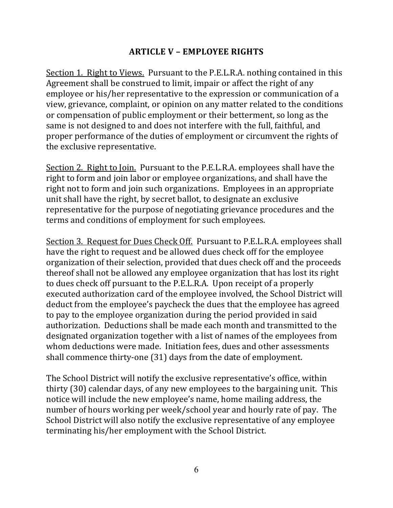### **ARTICLE V – EMPLOYEE RIGHTS**

Section 1. Right to Views. Pursuant to the P.E.L.R.A. nothing contained in this Agreement shall be construed to limit, impair or affect the right of any employee or his/her representative to the expression or communication of a view, grievance, complaint, or opinion on any matter related to the conditions or compensation of public employment or their betterment, so long as the same is not designed to and does not interfere with the full, faithful, and proper performance of the duties of employment or circumvent the rights of the exclusive representative.

Section 2. Right to Join. Pursuant to the P.E.L.R.A. employees shall have the right to form and join labor or employee organizations, and shall have the right not to form and join such organizations. Employees in an appropriate unit shall have the right, by secret ballot, to designate an exclusive representative for the purpose of negotiating grievance procedures and the terms and conditions of employment for such employees.

Section 3. Request for Dues Check Off. Pursuant to P.E.L.R.A. employees shall have the right to request and be allowed dues check off for the employee organization of their selection, provided that dues check off and the proceeds thereof shall not be allowed any employee organization that has lost its right to dues check off pursuant to the P.E.L.R.A. Upon receipt of a properly executed authorization card of the employee involved, the School District will deduct from the employee's paycheck the dues that the employee has agreed to pay to the employee organization during the period provided in said authorization. Deductions shall be made each month and transmitted to the designated organization together with a list of names of the employees from whom deductions were made. Initiation fees, dues and other assessments shall commence thirty-one (31) days from the date of employment.

The School District will notify the exclusive representative's office, within thirty (30) calendar days, of any new employees to the bargaining unit. This notice will include the new employee's name, home mailing address, the number of hours working per week/school year and hourly rate of pay. The School District will also notify the exclusive representative of any employee terminating his/her employment with the School District.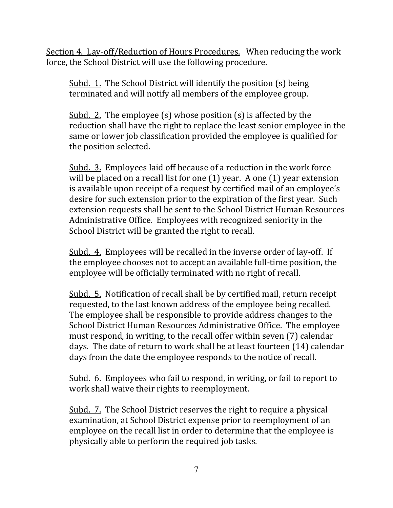Section 4. Lay-off/Reduction of Hours Procedures. When reducing the work force, the School District will use the following procedure.

Subd. 1. The School District will identify the position (s) being terminated and will notify all members of the employee group.

Subd. 2. The employee (s) whose position (s) is affected by the reduction shall have the right to replace the least senior employee in the same or lower job classification provided the employee is qualified for the position selected.

Subd. 3. Employees laid off because of a reduction in the work force will be placed on a recall list for one (1) year. A one (1) year extension is available upon receipt of a request by certified mail of an employee's desire for such extension prior to the expiration of the first year. Such extension requests shall be sent to the School District Human Resources Administrative Office. Employees with recognized seniority in the School District will be granted the right to recall.

Subd. 4. Employees will be recalled in the inverse order of lay-off. If the employee chooses not to accept an available full-time position, the employee will be officially terminated with no right of recall.

Subd. 5. Notification of recall shall be by certified mail, return receipt requested, to the last known address of the employee being recalled. The employee shall be responsible to provide address changes to the School District Human Resources Administrative Office. The employee must respond, in writing, to the recall offer within seven (7) calendar days. The date of return to work shall be at least fourteen (14) calendar days from the date the employee responds to the notice of recall.

Subd. 6. Employees who fail to respond, in writing, or fail to report to work shall waive their rights to reemployment.

Subd. 7. The School District reserves the right to require a physical examination, at School District expense prior to reemployment of an employee on the recall list in order to determine that the employee is physically able to perform the required job tasks.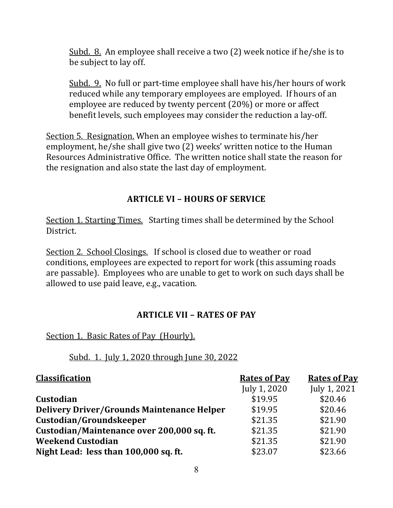Subd. 8. An employee shall receive a two (2) week notice if he/she is to be subject to lay off.

Subd. 9. No full or part-time employee shall have his/her hours of work reduced while any temporary employees are employed. If hours of an employee are reduced by twenty percent (20%) or more or affect benefit levels, such employees may consider the reduction a lay-off.

Section 5. Resignation. When an employee wishes to terminate his/her employment, he/she shall give two (2) weeks' written notice to the Human Resources Administrative Office. The written notice shall state the reason for the resignation and also state the last day of employment.

## **ARTICLE VI – HOURS OF SERVICE**

Section 1. Starting Times. Starting times shall be determined by the School District.

Section 2. School Closings. If school is closed due to weather or road conditions, employees are expected to report for work (this assuming roads are passable). Employees who are unable to get to work on such days shall be allowed to use paid leave, e.g., vacation.

## **ARTICLE VII – RATES OF PAY**

Section 1. Basic Rates of Pay (Hourly).

## Subd. 1. July 1, 2020 through June 30, 2022

| <b>Classification</b>                             | <b>Rates of Pay</b> | <b>Rates of Pay</b> |
|---------------------------------------------------|---------------------|---------------------|
|                                                   | July 1, 2020        | July 1, 2021        |
| <b>Custodian</b>                                  | \$19.95             | \$20.46             |
| <b>Delivery Driver/Grounds Maintenance Helper</b> | \$19.95             | \$20.46             |
| Custodian/Groundskeeper                           | \$21.35             | \$21.90             |
| Custodian/Maintenance over 200,000 sq. ft.        | \$21.35             | \$21.90             |
| <b>Weekend Custodian</b>                          | \$21.35             | \$21.90             |
| Night Lead: less than 100,000 sq. ft.             | \$23.07             | \$23.66             |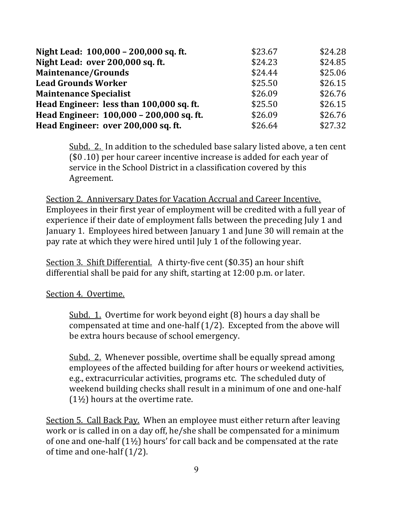| Night Lead: 100,000 - 200,000 sq. ft.    | \$23.67 | \$24.28 |
|------------------------------------------|---------|---------|
| Night Lead: over 200,000 sq. ft.         | \$24.23 | \$24.85 |
| <b>Maintenance/Grounds</b>               | \$24.44 | \$25.06 |
| <b>Lead Grounds Worker</b>               | \$25.50 | \$26.15 |
| <b>Maintenance Specialist</b>            | \$26.09 | \$26.76 |
| Head Engineer: less than 100,000 sq. ft. | \$25.50 | \$26.15 |
| Head Engineer: 100,000 - 200,000 sq. ft. | \$26.09 | \$26.76 |
| Head Engineer: over 200,000 sq. ft.      | \$26.64 | \$27.32 |

Subd. 2. In addition to the scheduled base salary listed above, a ten cent (\$0 .10) per hour career incentive increase is added for each year of service in the School District in a classification covered by this Agreement.

Section 2. Anniversary Dates for Vacation Accrual and Career Incentive. Employees in their first year of employment will be credited with a full year of experience if their date of employment falls between the preceding July 1 and January 1. Employees hired between January 1 and June 30 will remain at the pay rate at which they were hired until July 1 of the following year.

Section 3. Shift Differential. A thirty-five cent (\$0.35) an hour shift differential shall be paid for any shift, starting at 12:00 p.m. or later.

Section 4. Overtime.

Subd. 1. Overtime for work beyond eight (8) hours a day shall be compensated at time and one-half (1/2). Excepted from the above will be extra hours because of school emergency.

Subd. 2. Whenever possible, overtime shall be equally spread among employees of the affected building for after hours or weekend activities, e.g., extracurricular activities, programs etc. The scheduled duty of weekend building checks shall result in a minimum of one and one-half (1½) hours at the overtime rate.

Section 5. Call Back Pay. When an employee must either return after leaving work or is called in on a day off, he/she shall be compensated for a minimum of one and one-half (1½) hours' for call back and be compensated at the rate of time and one-half (1/2).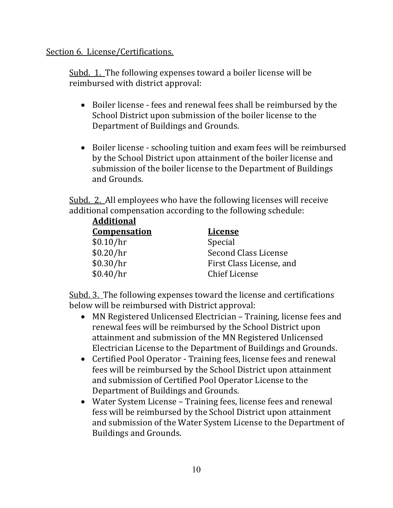#### Section 6. License/Certifications.

Subd. 1. The following expenses toward a boiler license will be reimbursed with district approval:

- Boiler license fees and renewal fees shall be reimbursed by the School District upon submission of the boiler license to the Department of Buildings and Grounds.
- Boiler license schooling tuition and exam fees will be reimbursed by the School District upon attainment of the boiler license and submission of the boiler license to the Department of Buildings and Grounds.

Subd. 2. All employees who have the following licenses will receive additional compensation according to the following schedule: **Additional**

| Auditional          |                          |
|---------------------|--------------------------|
| <b>Compensation</b> | <b>License</b>           |
| \$0.10/hr           | Special                  |
| \$0.20/hr           | Second Class License     |
| \$0.30/hr           | First Class License, and |
| \$0.40/hr           | <b>Chief License</b>     |
|                     |                          |

 Subd. 3. The following expenses toward the license and certifications below will be reimbursed with District approval:

- MN Registered Unlicensed Electrician Training, license fees and renewal fees will be reimbursed by the School District upon attainment and submission of the MN Registered Unlicensed Electrician License to the Department of Buildings and Grounds.
- Certified Pool Operator Training fees, license fees and renewal fees will be reimbursed by the School District upon attainment and submission of Certified Pool Operator License to the Department of Buildings and Grounds.
- Water System License Training fees, license fees and renewal fess will be reimbursed by the School District upon attainment and submission of the Water System License to the Department of Buildings and Grounds.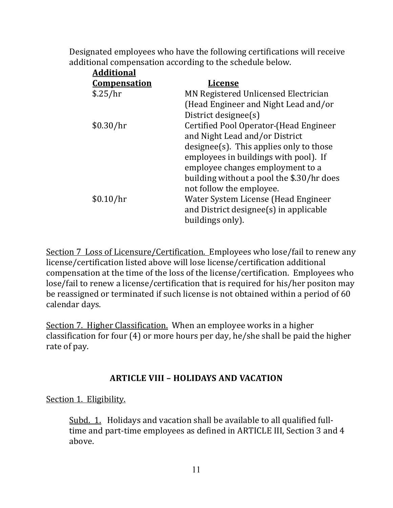Designated employees who have the following certifications will receive additional compensation according to the schedule below.

| <b>Additional</b>   |                                           |
|---------------------|-------------------------------------------|
| <b>Compensation</b> | <b>License</b>                            |
| \$.25/hr            | MN Registered Unlicensed Electrician      |
|                     | (Head Engineer and Night Lead and/or      |
|                     | District designee(s)                      |
| \$0.30/hr           | Certified Pool Operator-(Head Engineer    |
|                     | and Night Lead and/or District            |
|                     | designee(s). This applies only to those   |
|                     | employees in buildings with pool). If     |
|                     | employee changes employment to a          |
|                     | building without a pool the \$.30/hr does |
|                     | not follow the employee.                  |
| \$0.10/hr           | Water System License (Head Engineer       |
|                     | and District designee(s) in applicable    |
|                     | buildings only).                          |
|                     |                                           |

Section 7 Loss of Licensure/Certification. Employees who lose/fail to renew any license/certification listed above will lose license/certification additional compensation at the time of the loss of the license/certification. Employees who lose/fail to renew a license/certification that is required for his/her positon may be reassigned or terminated if such license is not obtained within a period of 60 calendar days.

Section 7. Higher Classification. When an employee works in a higher classification for four (4) or more hours per day, he/she shall be paid the higher rate of pay.

## **ARTICLE VIII – HOLIDAYS AND VACATION**

Section 1. Eligibility.

Subd. 1. Holidays and vacation shall be available to all qualified fulltime and part-time employees as defined in ARTICLE III, Section 3 and 4 above.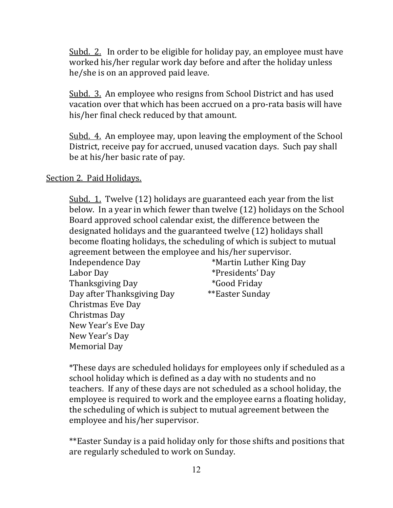Subd. 2. In order to be eligible for holiday pay, an employee must have worked his/her regular work day before and after the holiday unless he/she is on an approved paid leave.

Subd. 3. An employee who resigns from School District and has used vacation over that which has been accrued on a pro-rata basis will have his/her final check reduced by that amount.

Subd. 4. An employee may, upon leaving the employment of the School District, receive pay for accrued, unused vacation days. Such pay shall be at his/her basic rate of pay.

#### Section 2. Paid Holidays.

Subd. 1. Twelve (12) holidays are guaranteed each year from the list below. In a year in which fewer than twelve (12) holidays on the School Board approved school calendar exist, the difference between the designated holidays and the guaranteed twelve (12) holidays shall become floating holidays, the scheduling of which is subject to mutual agreement between the employee and his/her supervisor. Independence Day **\*Martin Luther King Day** Labor Day \*Presidents' Day

Thanksgiving Day **\*Good Friday**  Day after Thanksgiving Day \*\*Easter Sunday Christmas Eve Day Christmas Day New Year's Eve Day New Year's Day Memorial Day

\*These days are scheduled holidays for employees only if scheduled as a school holiday which is defined as a day with no students and no teachers. If any of these days are not scheduled as a school holiday, the employee is required to work and the employee earns a floating holiday, the scheduling of which is subject to mutual agreement between the employee and his/her supervisor.

\*\*Easter Sunday is a paid holiday only for those shifts and positions that are regularly scheduled to work on Sunday.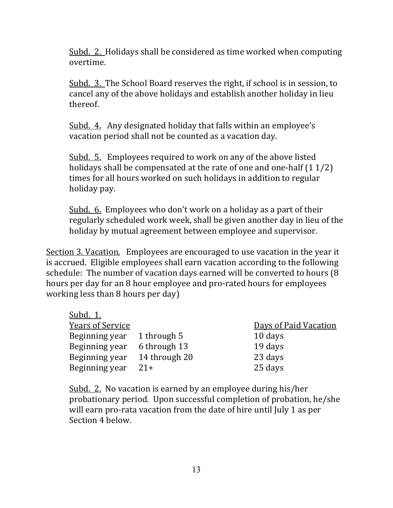Subd. 2. Holidays shall be considered as time worked when computing overtime.

Subd. 3. The School Board reserves the right, if school is in session, to cancel any of the above holidays and establish another holiday in lieu thereof.

Subd. 4. Any designated holiday that falls within an employee's vacation period shall not be counted as a vacation day.

Subd. 5. Employees required to work on any of the above listed holidays shall be compensated at the rate of one and one-half  $(1 1/2)$ times for all hours worked on such holidays in addition to regular holiday pay.

Subd. 6. Employees who don't work on a holiday as a part of their regularly scheduled work week, shall be given another day in lieu of the holiday by mutual agreement between employee and supervisor.

Section 3. Vacation. Employees are encouraged to use vacation in the year it is accrued. Eligible employees shall earn vacation according to the following schedule: The number of vacation days earned will be converted to hours (8 hours per day for an 8 hour employee and pro-rated hours for employees working less than 8 hours per day)

| Subd. 1.                |               |                       |
|-------------------------|---------------|-----------------------|
| <b>Years of Service</b> |               | Days of Paid Vacation |
| Beginning year          | 1 through 5   | 10 days               |
| Beginning year          | 6 through 13  | 19 days               |
| Beginning year          | 14 through 20 | 23 days               |
| Beginning year          | $21+$         | 25 days               |

Subd. 2. No vacation is earned by an employee during his/her probationary period. Upon successful completion of probation, he/she will earn pro-rata vacation from the date of hire until July 1 as per Section 4 below.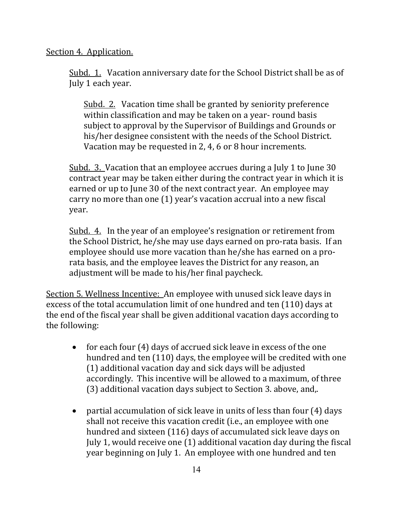#### Section 4. Application.

Subd. 1. Vacation anniversary date for the School District shall be as of July 1 each year.

Subd. 2. Vacation time shall be granted by seniority preference within classification and may be taken on a year- round basis subject to approval by the Supervisor of Buildings and Grounds or his/her designee consistent with the needs of the School District. Vacation may be requested in 2, 4, 6 or 8 hour increments.

Subd. 3. Vacation that an employee accrues during a July 1 to June 30 contract year may be taken either during the contract year in which it is earned or up to June 30 of the next contract year. An employee may carry no more than one (1) year's vacation accrual into a new fiscal year.

Subd. 4. In the year of an employee's resignation or retirement from the School District, he/she may use days earned on pro-rata basis. If an employee should use more vacation than he/she has earned on a prorata basis, and the employee leaves the District for any reason, an adjustment will be made to his/her final paycheck.

Section 5. Wellness Incentive: An employee with unused sick leave days in excess of the total accumulation limit of one hundred and ten (110) days at the end of the fiscal year shall be given additional vacation days according to the following:

- for each four (4) days of accrued sick leave in excess of the one hundred and ten (110) days, the employee will be credited with one (1) additional vacation day and sick days will be adjusted accordingly. This incentive will be allowed to a maximum, of three (3) additional vacation days subject to Section 3. above, and,.
- partial accumulation of sick leave in units of less than four (4) days shall not receive this vacation credit (i.e., an employee with one hundred and sixteen (116) days of accumulated sick leave days on July 1, would receive one (1) additional vacation day during the fiscal year beginning on July 1. An employee with one hundred and ten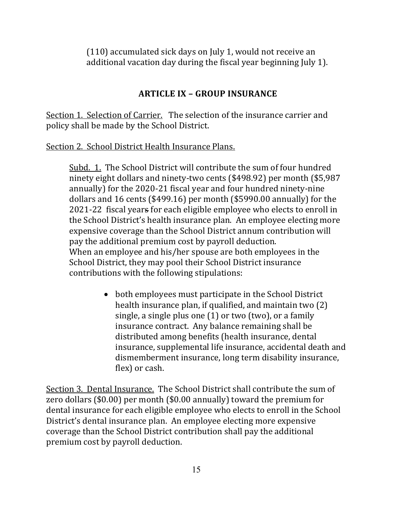(110) accumulated sick days on July 1, would not receive an additional vacation day during the fiscal year beginning July 1).

## **ARTICLE IX – GROUP INSURANCE**

Section 1. Selection of Carrier. The selection of the insurance carrier and policy shall be made by the School District.

#### Section 2. School District Health Insurance Plans.

Subd. 1. The School District will contribute the sum of four hundred ninety eight dollars and ninety-two cents (\$498.92) per month (\$5,987 annually) for the 2020-21 fiscal year and four hundred ninety-nine dollars and 16 cents (\$499.16) per month (\$5990.00 annually) for the 2021-22 fiscal years for each eligible employee who elects to enroll in the School District's health insurance plan. An employee electing more expensive coverage than the School District annum contribution will pay the additional premium cost by payroll deduction. When an employee and his/her spouse are both employees in the School District, they may pool their School District insurance contributions with the following stipulations:

> • both employees must participate in the School District health insurance plan, if qualified, and maintain two (2) single, a single plus one (1) or two (two), or a family insurance contract. Any balance remaining shall be distributed among benefits (health insurance, dental insurance, supplemental life insurance, accidental death and dismemberment insurance, long term disability insurance, flex) or cash.

Section 3. Dental Insurance. The School District shall contribute the sum of zero dollars (\$0.00) per month (\$0.00 annually) toward the premium for dental insurance for each eligible employee who elects to enroll in the School District's dental insurance plan. An employee electing more expensive coverage than the School District contribution shall pay the additional premium cost by payroll deduction.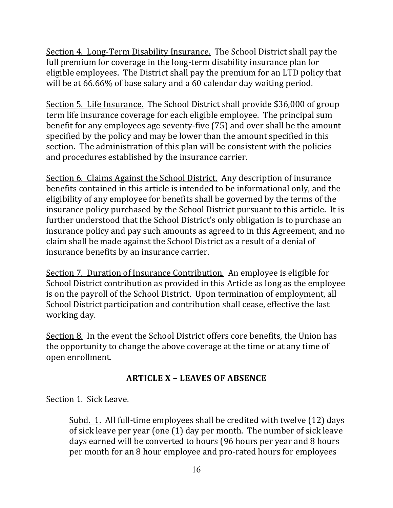Section 4. Long-Term Disability Insurance. The School District shall pay the full premium for coverage in the long-term disability insurance plan for eligible employees. The District shall pay the premium for an LTD policy that will be at 66.66% of base salary and a 60 calendar day waiting period.

Section 5. Life Insurance. The School District shall provide \$36,000 of group term life insurance coverage for each eligible employee. The principal sum benefit for any employees age seventy-five (75) and over shall be the amount specified by the policy and may be lower than the amount specified in this section. The administration of this plan will be consistent with the policies and procedures established by the insurance carrier.

Section 6. Claims Against the School District. Any description of insurance benefits contained in this article is intended to be informational only, and the eligibility of any employee for benefits shall be governed by the terms of the insurance policy purchased by the School District pursuant to this article. It is further understood that the School District's only obligation is to purchase an insurance policy and pay such amounts as agreed to in this Agreement, and no claim shall be made against the School District as a result of a denial of insurance benefits by an insurance carrier.

Section 7. Duration of Insurance Contribution. An employee is eligible for School District contribution as provided in this Article as long as the employee is on the payroll of the School District. Upon termination of employment, all School District participation and contribution shall cease, effective the last working day.

Section 8. In the event the School District offers core benefits, the Union has the opportunity to change the above coverage at the time or at any time of open enrollment.

## **ARTICLE X – LEAVES OF ABSENCE**

Section 1. Sick Leave.

Subd. 1. All full-time employees shall be credited with twelve (12) days of sick leave per year (one (1) day per month. The number of sick leave days earned will be converted to hours (96 hours per year and 8 hours per month for an 8 hour employee and pro-rated hours for employees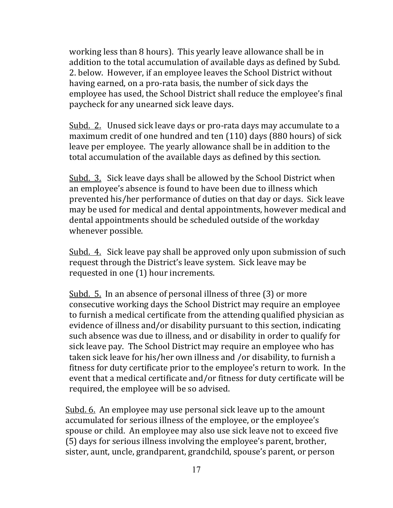working less than 8 hours). This yearly leave allowance shall be in addition to the total accumulation of available days as defined by Subd. 2. below. However, if an employee leaves the School District without having earned, on a pro-rata basis, the number of sick days the employee has used, the School District shall reduce the employee's final paycheck for any unearned sick leave days.

Subd. 2. Unused sick leave days or pro-rata days may accumulate to a maximum credit of one hundred and ten (110) days (880 hours) of sick leave per employee. The yearly allowance shall be in addition to the total accumulation of the available days as defined by this section.

Subd. 3. Sick leave days shall be allowed by the School District when an employee's absence is found to have been due to illness which prevented his/her performance of duties on that day or days. Sick leave may be used for medical and dental appointments, however medical and dental appointments should be scheduled outside of the workday whenever possible.

Subd. 4. Sick leave pay shall be approved only upon submission of such request through the District's leave system. Sick leave may be requested in one (1) hour increments.

Subd. 5. In an absence of personal illness of three (3) or more consecutive working days the School District may require an employee to furnish a medical certificate from the attending qualified physician as evidence of illness and/or disability pursuant to this section, indicating such absence was due to illness, and or disability in order to qualify for sick leave pay. The School District may require an employee who has taken sick leave for his/her own illness and /or disability, to furnish a fitness for duty certificate prior to the employee's return to work. In the event that a medical certificate and/or fitness for duty certificate will be required, the employee will be so advised.

Subd. 6. An employee may use personal sick leave up to the amount accumulated for serious illness of the employee, or the employee's spouse or child. An employee may also use sick leave not to exceed five (5) days for serious illness involving the employee's parent, brother, sister, aunt, uncle, grandparent, grandchild, spouse's parent, or person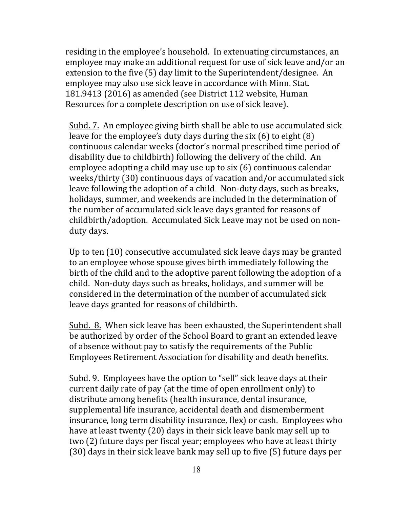residing in the employee's household. In extenuating circumstances, an employee may make an additional request for use of sick leave and/or an extension to the five (5) day limit to the Superintendent/designee. An employee may also use sick leave in accordance with Minn. Stat. 181.9413 (2016) as amended (see District 112 website, Human Resources for a complete description on use of sick leave).

Subd. 7. An employee giving birth shall be able to use accumulated sick leave for the employee's duty days during the six (6) to eight (8) continuous calendar weeks (doctor's normal prescribed time period of disability due to childbirth) following the delivery of the child. An employee adopting a child may use up to six (6) continuous calendar weeks/thirty (30) continuous days of vacation and/or accumulated sick leave following the adoption of a child. Non-duty days, such as breaks, holidays, summer, and weekends are included in the determination of the number of accumulated sick leave days granted for reasons of childbirth/adoption. Accumulated Sick Leave may not be used on nonduty days.

Up to ten (10) consecutive accumulated sick leave days may be granted to an employee whose spouse gives birth immediately following the birth of the child and to the adoptive parent following the adoption of a child. Non-duty days such as breaks, holidays, and summer will be considered in the determination of the number of accumulated sick leave days granted for reasons of childbirth.

Subd. 8. When sick leave has been exhausted, the Superintendent shall be authorized by order of the School Board to grant an extended leave of absence without pay to satisfy the requirements of the Public Employees Retirement Association for disability and death benefits.

Subd. 9. Employees have the option to "sell" sick leave days at their current daily rate of pay (at the time of open enrollment only) to distribute among benefits (health insurance, dental insurance, supplemental life insurance, accidental death and dismemberment insurance, long term disability insurance, flex) or cash. Employees who have at least twenty (20) days in their sick leave bank may sell up to two (2) future days per fiscal year; employees who have at least thirty (30) days in their sick leave bank may sell up to five (5) future days per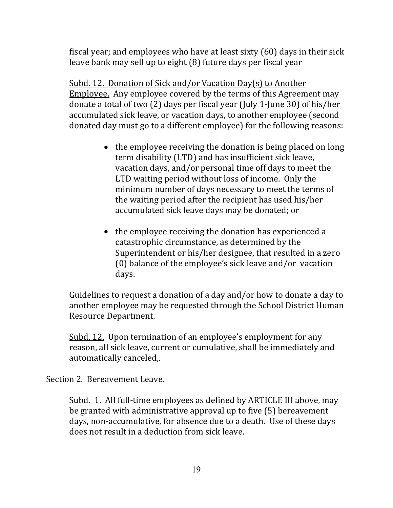fiscal year; and employees who have at least sixty (60) days in their sick leave bank may sell up to eight (8) future days per fiscal year

Subd. 12. Donation of Sick and/or Vacation Day(s) to Another Employee. Any employee covered by the terms of this Agreement may donate a total of two (2) days per fiscal year (July 1-June 30) of his/her accumulated sick leave, or vacation days, to another employee (second donated day must go to a different employee) for the following reasons:

- the employee receiving the donation is being placed on long term disability (LTD) and has insufficient sick leave, vacation days, and/or personal time off days to meet the LTD waiting period without loss of income. Only the minimum number of days necessary to meet the terms of the waiting period after the recipient has used his/her accumulated sick leave days may be donated; or
- the employee receiving the donation has experienced a catastrophic circumstance, as determined by the Superintendent or his/her designee, that resulted in a zero (0) balance of the employee's sick leave and/or vacation days.

Guidelines to request a donation of a day and/or how to donate a day to another employee may be requested through the School District Human Resource Department.

Subd. 12. Upon termination of an employee's employment for any reason, all sick leave, current or cumulative, shall be immediately and automatically canceled $\overline{r}$ .

#### Section 2. Bereavement Leave.

Subd. 1. All full-time employees as defined by ARTICLE III above, may be granted with administrative approval up to five (5) bereavement days, non-accumulative, for absence due to a death. Use of these days does not result in a deduction from sick leave.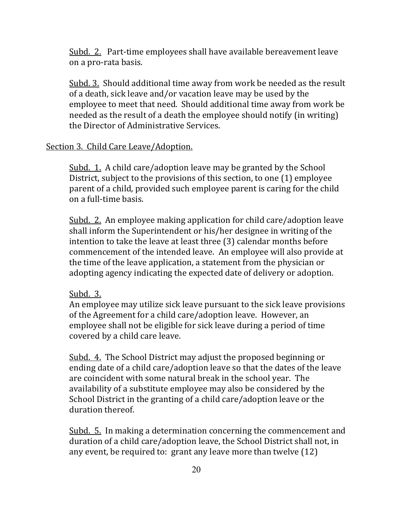Subd. 2. Part-time employees shall have available bereavement leave on a pro-rata basis.

Subd. 3. Should additional time away from work be needed as the result of a death, sick leave and/or vacation leave may be used by the employee to meet that need. Should additional time away from work be needed as the result of a death the employee should notify (in writing) the Director of Administrative Services.

#### Section 3. Child Care Leave/Adoption.

Subd. 1. A child care/adoption leave may be granted by the School District, subject to the provisions of this section, to one (1) employee parent of a child, provided such employee parent is caring for the child on a full-time basis.

Subd. 2. An employee making application for child care/adoption leave shall inform the Superintendent or his/her designee in writing of the intention to take the leave at least three (3) calendar months before commencement of the intended leave. An employee will also provide at the time of the leave application, a statement from the physician or adopting agency indicating the expected date of delivery or adoption.

## Subd. 3.

An employee may utilize sick leave pursuant to the sick leave provisions of the Agreement for a child care/adoption leave. However, an employee shall not be eligible for sick leave during a period of time covered by a child care leave.

Subd. 4. The School District may adjust the proposed beginning or ending date of a child care/adoption leave so that the dates of the leave are coincident with some natural break in the school year. The availability of a substitute employee may also be considered by the School District in the granting of a child care/adoption leave or the duration thereof.

Subd. 5. In making a determination concerning the commencement and duration of a child care/adoption leave, the School District shall not, in any event, be required to: grant any leave more than twelve (12)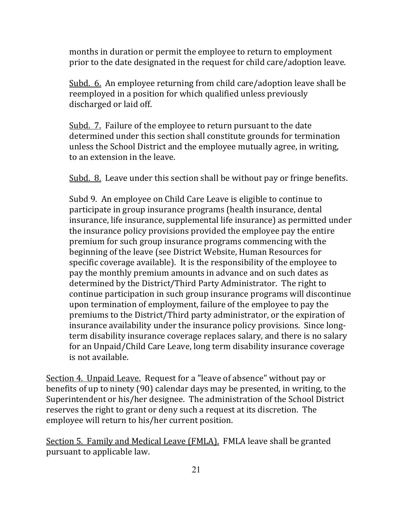months in duration or permit the employee to return to employment prior to the date designated in the request for child care/adoption leave.

Subd. 6. An employee returning from child care/adoption leave shall be reemployed in a position for which qualified unless previously discharged or laid off.

Subd. 7. Failure of the employee to return pursuant to the date determined under this section shall constitute grounds for termination unless the School District and the employee mutually agree, in writing, to an extension in the leave.

Subd. 8. Leave under this section shall be without pay or fringe benefits.

Subd 9. An employee on Child Care Leave is eligible to continue to participate in group insurance programs (health insurance, dental insurance, life insurance, supplemental life insurance) as permitted under the insurance policy provisions provided the employee pay the entire premium for such group insurance programs commencing with the beginning of the leave (see District Website, Human Resources for specific coverage available). It is the responsibility of the employee to pay the monthly premium amounts in advance and on such dates as determined by the District/Third Party Administrator. The right to continue participation in such group insurance programs will discontinue upon termination of employment, failure of the employee to pay the premiums to the District/Third party administrator, or the expiration of insurance availability under the insurance policy provisions. Since longterm disability insurance coverage replaces salary, and there is no salary for an Unpaid/Child Care Leave, long term disability insurance coverage is not available.

Section 4. Unpaid Leave. Request for a "leave of absence" without pay or benefits of up to ninety (90) calendar days may be presented, in writing, to the Superintendent or his/her designee. The administration of the School District reserves the right to grant or deny such a request at its discretion. The employee will return to his/her current position.

Section 5. Family and Medical Leave (FMLA). FMLA leave shall be granted pursuant to applicable law.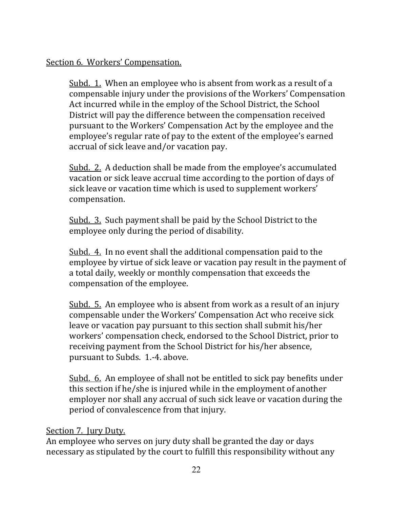### Section 6. Workers' Compensation.

Subd. 1. When an employee who is absent from work as a result of a compensable injury under the provisions of the Workers' Compensation Act incurred while in the employ of the School District, the School District will pay the difference between the compensation received pursuant to the Workers' Compensation Act by the employee and the employee's regular rate of pay to the extent of the employee's earned accrual of sick leave and/or vacation pay.

Subd. 2. A deduction shall be made from the employee's accumulated vacation or sick leave accrual time according to the portion of days of sick leave or vacation time which is used to supplement workers' compensation.

Subd. 3. Such payment shall be paid by the School District to the employee only during the period of disability.

Subd. 4. In no event shall the additional compensation paid to the employee by virtue of sick leave or vacation pay result in the payment of a total daily, weekly or monthly compensation that exceeds the compensation of the employee.

Subd. 5. An employee who is absent from work as a result of an injury compensable under the Workers' Compensation Act who receive sick leave or vacation pay pursuant to this section shall submit his/her workers' compensation check, endorsed to the School District, prior to receiving payment from the School District for his/her absence, pursuant to Subds. 1.-4. above.

Subd. 6. An employee of shall not be entitled to sick pay benefits under this section if he/she is injured while in the employment of another employer nor shall any accrual of such sick leave or vacation during the period of convalescence from that injury.

## Section 7. Jury Duty.

An employee who serves on jury duty shall be granted the day or days necessary as stipulated by the court to fulfill this responsibility without any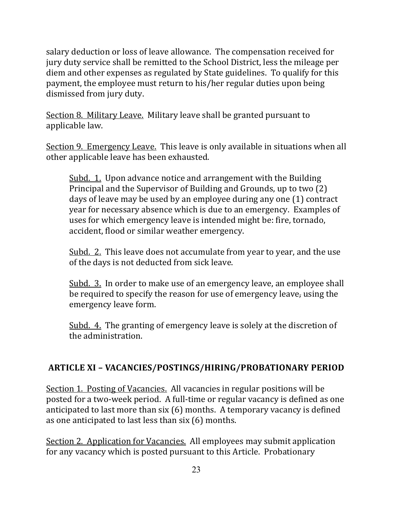salary deduction or loss of leave allowance. The compensation received for jury duty service shall be remitted to the School District, less the mileage per diem and other expenses as regulated by State guidelines. To qualify for this payment, the employee must return to his/her regular duties upon being dismissed from jury duty.

Section 8. Military Leave. Military leave shall be granted pursuant to applicable law.

Section 9. Emergency Leave. This leave is only available in situations when all other applicable leave has been exhausted.

Subd. 1. Upon advance notice and arrangement with the Building Principal and the Supervisor of Building and Grounds, up to two (2) days of leave may be used by an employee during any one (1) contract year for necessary absence which is due to an emergency. Examples of uses for which emergency leave is intended might be: fire, tornado, accident, flood or similar weather emergency.

Subd. 2. This leave does not accumulate from year to year, and the use of the days is not deducted from sick leave.

Subd. 3. In order to make use of an emergency leave, an employee shall be required to specify the reason for use of emergency leave, using the emergency leave form.

Subd. 4. The granting of emergency leave is solely at the discretion of the administration.

## **ARTICLE XI – VACANCIES/POSTINGS/HIRING/PROBATIONARY PERIOD**

Section 1. Posting of Vacancies. All vacancies in regular positions will be posted for a two-week period. A full-time or regular vacancy is defined as one anticipated to last more than six (6) months. A temporary vacancy is defined as one anticipated to last less than six (6) months.

Section 2. Application for Vacancies. All employees may submit application for any vacancy which is posted pursuant to this Article. Probationary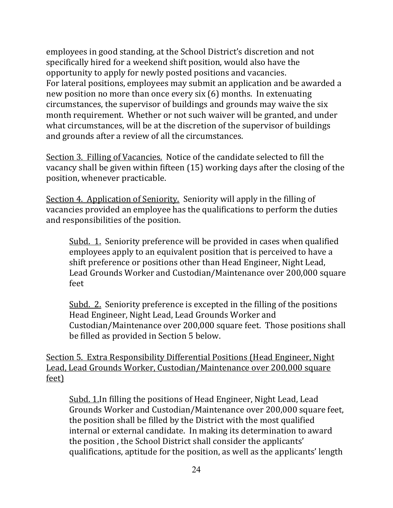employees in good standing, at the School District's discretion and not specifically hired for a weekend shift position, would also have the opportunity to apply for newly posted positions and vacancies. For lateral positions, employees may submit an application and be awarded a new position no more than once every six (6) months. In extenuating circumstances, the supervisor of buildings and grounds may waive the six month requirement. Whether or not such waiver will be granted, and under what circumstances, will be at the discretion of the supervisor of buildings and grounds after a review of all the circumstances.

Section 3. Filling of Vacancies. Notice of the candidate selected to fill the vacancy shall be given within fifteen (15) working days after the closing of the position, whenever practicable.

Section 4. Application of Seniority. Seniority will apply in the filling of vacancies provided an employee has the qualifications to perform the duties and responsibilities of the position.

Subd. 1. Seniority preference will be provided in cases when qualified employees apply to an equivalent position that is perceived to have a shift preference or positions other than Head Engineer, Night Lead, Lead Grounds Worker and Custodian/Maintenance over 200,000 square feet

Subd. 2. Seniority preference is excepted in the filling of the positions Head Engineer, Night Lead, Lead Grounds Worker and Custodian/Maintenance over 200,000 square feet. Those positions shall be filled as provided in Section 5 below.

Section 5. Extra Responsibility Differential Positions (Head Engineer, Night Lead, Lead Grounds Worker, Custodian/Maintenance over 200,000 square feet)

Subd. 1.In filling the positions of Head Engineer, Night Lead, Lead Grounds Worker and Custodian/Maintenance over 200,000 square feet, the position shall be filled by the District with the most qualified internal or external candidate. In making its determination to award the position , the School District shall consider the applicants' qualifications, aptitude for the position, as well as the applicants' length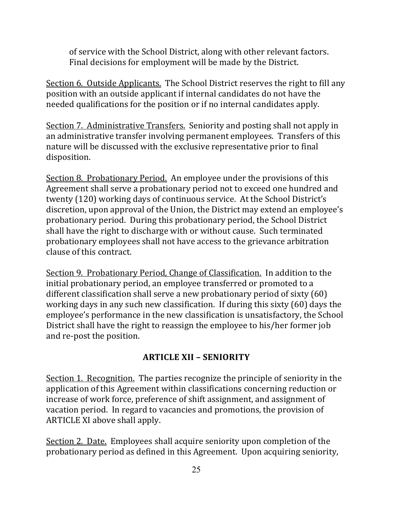of service with the School District, along with other relevant factors. Final decisions for employment will be made by the District.

Section 6. Outside Applicants. The School District reserves the right to fill any position with an outside applicant if internal candidates do not have the needed qualifications for the position or if no internal candidates apply.

Section 7. Administrative Transfers. Seniority and posting shall not apply in an administrative transfer involving permanent employees. Transfers of this nature will be discussed with the exclusive representative prior to final disposition.

Section 8. Probationary Period. An employee under the provisions of this Agreement shall serve a probationary period not to exceed one hundred and twenty (120) working days of continuous service. At the School District's discretion, upon approval of the Union, the District may extend an employee's probationary period. During this probationary period, the School District shall have the right to discharge with or without cause. Such terminated probationary employees shall not have access to the grievance arbitration clause of this contract.

Section 9. Probationary Period, Change of Classification. In addition to the initial probationary period, an employee transferred or promoted to a different classification shall serve a new probationary period of sixty (60) working days in any such new classification. If during this sixty (60) days the employee's performance in the new classification is unsatisfactory, the School District shall have the right to reassign the employee to his/her former job and re-post the position.

## **ARTICLE XII – SENIORITY**

Section 1. Recognition. The parties recognize the principle of seniority in the application of this Agreement within classifications concerning reduction or increase of work force, preference of shift assignment, and assignment of vacation period. In regard to vacancies and promotions, the provision of ARTICLE XI above shall apply.

Section 2. Date. Employees shall acquire seniority upon completion of the probationary period as defined in this Agreement. Upon acquiring seniority,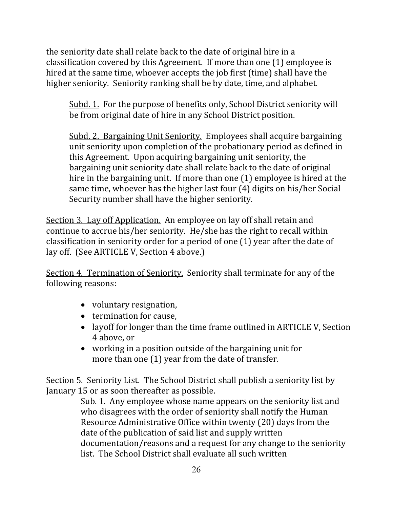the seniority date shall relate back to the date of original hire in a classification covered by this Agreement. If more than one (1) employee is hired at the same time, whoever accepts the job first (time) shall have the higher seniority. Seniority ranking shall be by date, time, and alphabet.

Subd. 1. For the purpose of benefits only, School District seniority will be from original date of hire in any School District position.

Subd. 2. Bargaining Unit Seniority. Employees shall acquire bargaining unit seniority upon completion of the probationary period as defined in this Agreement. Upon acquiring bargaining unit seniority, the bargaining unit seniority date shall relate back to the date of original hire in the bargaining unit. If more than one (1) employee is hired at the same time, whoever has the higher last four (4) digits on his/her Social Security number shall have the higher seniority.

Section 3. Lay off Application. An employee on lay off shall retain and continue to accrue his/her seniority. He/she has the right to recall within classification in seniority order for a period of one (1) year after the date of lay off. (See ARTICLE V, Section 4 above.)

Section 4. Termination of Seniority. Seniority shall terminate for any of the following reasons:

- voluntary resignation,
- termination for cause,
- layoff for longer than the time frame outlined in ARTICLE V, Section 4 above, or
- working in a position outside of the bargaining unit for more than one (1) year from the date of transfer.

Section 5. Seniority List. The School District shall publish a seniority list by January 15 or as soon thereafter as possible.

 Sub. 1. Any employee whose name appears on the seniority list and who disagrees with the order of seniority shall notify the Human Resource Administrative Office within twenty (20) days from the date of the publication of said list and supply written documentation/reasons and a request for any change to the seniority list. The School District shall evaluate all such written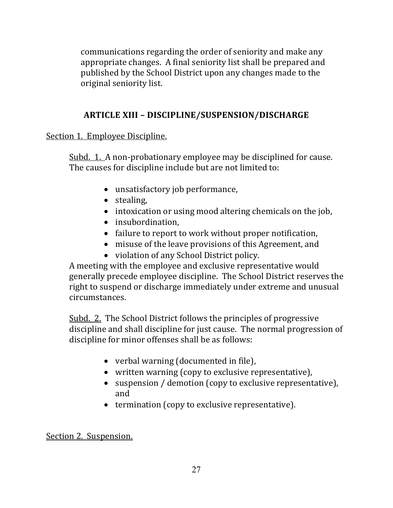communications regarding the order of seniority and make any appropriate changes. A final seniority list shall be prepared and published by the School District upon any changes made to the original seniority list.

## **ARTICLE XIII – DISCIPLINE/SUSPENSION/DISCHARGE**

Section 1. Employee Discipline.

Subd. 1. A non-probationary employee may be disciplined for cause. The causes for discipline include but are not limited to:

- unsatisfactory job performance,
- stealing,
- intoxication or using mood altering chemicals on the job,
- insubordination,
- failure to report to work without proper notification,
- misuse of the leave provisions of this Agreement, and
- violation of any School District policy.

A meeting with the employee and exclusive representative would generally precede employee discipline. The School District reserves the right to suspend or discharge immediately under extreme and unusual circumstances.

Subd. 2. The School District follows the principles of progressive discipline and shall discipline for just cause. The normal progression of discipline for minor offenses shall be as follows:

- verbal warning (documented in file),
- written warning (copy to exclusive representative),
- suspension / demotion (copy to exclusive representative), and
- termination (copy to exclusive representative).

Section 2. Suspension.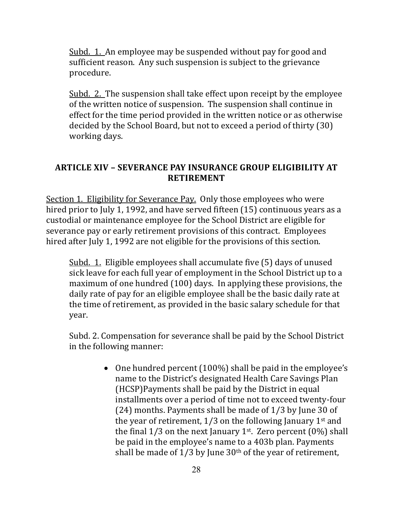Subd. 1. An employee may be suspended without pay for good and sufficient reason. Any such suspension is subject to the grievance procedure.

Subd. 2. The suspension shall take effect upon receipt by the employee of the written notice of suspension. The suspension shall continue in effect for the time period provided in the written notice or as otherwise decided by the School Board, but not to exceed a period of thirty (30) working days.

## **ARTICLE XIV – SEVERANCE PAY INSURANCE GROUP ELIGIBILITY AT RETIREMENT**

Section 1. Eligibility for Severance Pay. Only those employees who were hired prior to July 1, 1992, and have served fifteen (15) continuous years as a custodial or maintenance employee for the School District are eligible for severance pay or early retirement provisions of this contract. Employees hired after July 1, 1992 are not eligible for the provisions of this section.

Subd. 1. Eligible employees shall accumulate five (5) days of unused sick leave for each full year of employment in the School District up to a maximum of one hundred (100) days. In applying these provisions, the daily rate of pay for an eligible employee shall be the basic daily rate at the time of retirement, as provided in the basic salary schedule for that year.

Subd. 2. Compensation for severance shall be paid by the School District in the following manner:

> • One hundred percent (100%) shall be paid in the employee's name to the District's designated Health Care Savings Plan (HCSP)Payments shall be paid by the District in equal installments over a period of time not to exceed twenty-four (24) months. Payments shall be made of 1/3 by June 30 of the year of retirement,  $1/3$  on the following January 1<sup>st</sup> and the final  $1/3$  on the next January 1<sup>st</sup>. Zero percent  $(0\%)$  shall be paid in the employee's name to a 403b plan. Payments shall be made of  $1/3$  by June  $30<sup>th</sup>$  of the year of retirement,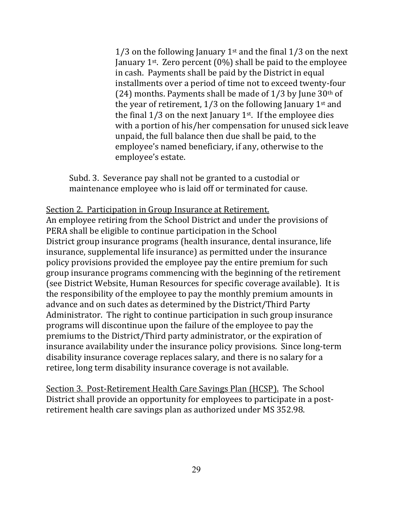1/3 on the following January 1<sup>st</sup> and the final 1/3 on the next January 1<sup>st</sup>. Zero percent (0%) shall be paid to the employee in cash. Payments shall be paid by the District in equal installments over a period of time not to exceed twenty-four (24) months. Payments shall be made of  $1/3$  by June  $30<sup>th</sup>$  of the year of retirement,  $1/3$  on the following January 1st and the final  $1/3$  on the next January  $1<sup>st</sup>$ . If the employee dies with a portion of his/her compensation for unused sick leave unpaid, the full balance then due shall be paid, to the employee's named beneficiary, if any, otherwise to the employee's estate.

Subd. 3. Severance pay shall not be granted to a custodial or maintenance employee who is laid off or terminated for cause.

#### Section 2. Participation in Group Insurance at Retirement.

An employee retiring from the School District and under the provisions of PERA shall be eligible to continue participation in the School District group insurance programs (health insurance, dental insurance, life insurance, supplemental life insurance) as permitted under the insurance policy provisions provided the employee pay the entire premium for such group insurance programs commencing with the beginning of the retirement (see District Website, Human Resources for specific coverage available). It is the responsibility of the employee to pay the monthly premium amounts in advance and on such dates as determined by the District/Third Party Administrator. The right to continue participation in such group insurance programs will discontinue upon the failure of the employee to pay the premiums to the District/Third party administrator, or the expiration of insurance availability under the insurance policy provisions. Since long-term disability insurance coverage replaces salary, and there is no salary for a retiree, long term disability insurance coverage is not available.

Section 3. Post-Retirement Health Care Savings Plan (HCSP). The School District shall provide an opportunity for employees to participate in a postretirement health care savings plan as authorized under MS 352.98.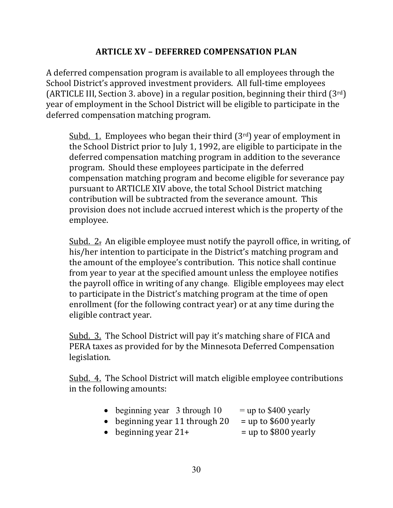## **ARTICLE XV – DEFERRED COMPENSATION PLAN**

A deferred compensation program is available to all employees through the School District's approved investment providers. All full-time employees (ARTICLE III, Section 3. above) in a regular position, beginning their third  $(3^{rd})$ year of employment in the School District will be eligible to participate in the deferred compensation matching program.

Subd. 1. Employees who began their third  $(3<sup>rd</sup>)$  year of employment in the School District prior to July 1, 1992, are eligible to participate in the deferred compensation matching program in addition to the severance program. Should these employees participate in the deferred compensation matching program and become eligible for severance pay pursuant to ARTICLE XIV above, the total School District matching contribution will be subtracted from the severance amount. This provision does not include accrued interest which is the property of the employee.

Subd. 2. An eligible employee must notify the payroll office, in writing, of his/her intention to participate in the District's matching program and the amount of the employee's contribution. This notice shall continue from year to year at the specified amount unless the employee notifies the payroll office in writing of any change. Eligible employees may elect to participate in the District's matching program at the time of open enrollment (for the following contract year) or at any time during the eligible contract year.

Subd. 3. The School District will pay it's matching share of FICA and PERA taxes as provided for by the Minnesota Deferred Compensation legislation.

Subd. 4. The School District will match eligible employee contributions in the following amounts:

| $\bullet$ beginning year 3 through 10 | $=$ up to \$400 yearly |
|---------------------------------------|------------------------|
| • beginning year 11 through 20        | $=$ up to \$600 yearly |
| • beginning year $21+$                | $=$ up to \$800 yearly |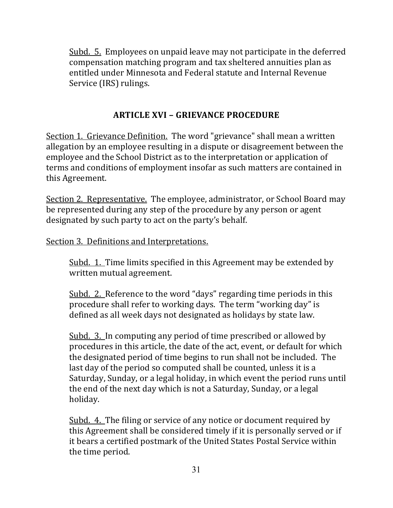Subd. 5. Employees on unpaid leave may not participate in the deferred compensation matching program and tax sheltered annuities plan as entitled under Minnesota and Federal statute and Internal Revenue Service (IRS) rulings.

## **ARTICLE XVI – GRIEVANCE PROCEDURE**

Section 1. Grievance Definition. The word "grievance" shall mean a written allegation by an employee resulting in a dispute or disagreement between the employee and the School District as to the interpretation or application of terms and conditions of employment insofar as such matters are contained in this Agreement.

Section 2. Representative. The employee, administrator, or School Board may be represented during any step of the procedure by any person or agent designated by such party to act on the party's behalf.

#### Section 3. Definitions and Interpretations.

Subd. 1. Time limits specified in this Agreement may be extended by written mutual agreement.

Subd. 2. Reference to the word "days" regarding time periods in this procedure shall refer to working days. The term "working day" is defined as all week days not designated as holidays by state law.

Subd. 3. In computing any period of time prescribed or allowed by procedures in this article, the date of the act, event, or default for which the designated period of time begins to run shall not be included. The last day of the period so computed shall be counted, unless it is a Saturday, Sunday, or a legal holiday, in which event the period runs until the end of the next day which is not a Saturday, Sunday, or a legal holiday.

Subd. 4. The filing or service of any notice or document required by this Agreement shall be considered timely if it is personally served or if it bears a certified postmark of the United States Postal Service within the time period.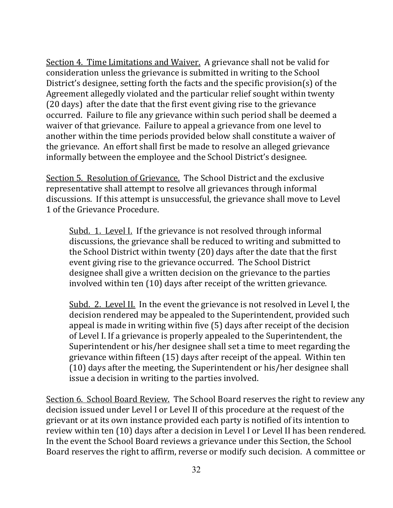Section 4. Time Limitations and Waiver. A grievance shall not be valid for consideration unless the grievance is submitted in writing to the School District's designee, setting forth the facts and the specific provision(s) of the Agreement allegedly violated and the particular relief sought within twenty (20 days) after the date that the first event giving rise to the grievance occurred. Failure to file any grievance within such period shall be deemed a waiver of that grievance. Failure to appeal a grievance from one level to another within the time periods provided below shall constitute a waiver of the grievance. An effort shall first be made to resolve an alleged grievance informally between the employee and the School District's designee.

Section 5. Resolution of Grievance. The School District and the exclusive representative shall attempt to resolve all grievances through informal discussions. If this attempt is unsuccessful, the grievance shall move to Level 1 of the Grievance Procedure.

Subd. 1. Level I. If the grievance is not resolved through informal discussions, the grievance shall be reduced to writing and submitted to the School District within twenty (20) days after the date that the first event giving rise to the grievance occurred. The School District designee shall give a written decision on the grievance to the parties involved within ten (10) days after receipt of the written grievance.

Subd. 2. Level II. In the event the grievance is not resolved in Level I, the decision rendered may be appealed to the Superintendent, provided such appeal is made in writing within five (5) days after receipt of the decision of Level I. If a grievance is properly appealed to the Superintendent, the Superintendent or his/her designee shall set a time to meet regarding the grievance within fifteen (15) days after receipt of the appeal. Within ten (10) days after the meeting, the Superintendent or his/her designee shall issue a decision in writing to the parties involved.

Section 6. School Board Review. The School Board reserves the right to review any decision issued under Level I or Level II of this procedure at the request of the grievant or at its own instance provided each party is notified of its intention to review within ten (10) days after a decision in Level I or Level II has been rendered. In the event the School Board reviews a grievance under this Section, the School Board reserves the right to affirm, reverse or modify such decision. A committee or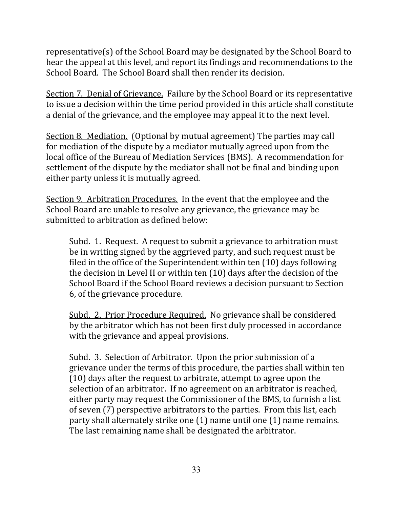representative(s) of the School Board may be designated by the School Board to hear the appeal at this level, and report its findings and recommendations to the School Board. The School Board shall then render its decision.

Section 7. Denial of Grievance. Failure by the School Board or its representative to issue a decision within the time period provided in this article shall constitute a denial of the grievance, and the employee may appeal it to the next level.

Section 8. Mediation. (Optional by mutual agreement) The parties may call for mediation of the dispute by a mediator mutually agreed upon from the local office of the Bureau of Mediation Services (BMS). A recommendation for settlement of the dispute by the mediator shall not be final and binding upon either party unless it is mutually agreed.

Section 9. Arbitration Procedures. In the event that the employee and the School Board are unable to resolve any grievance, the grievance may be submitted to arbitration as defined below:

Subd. 1. Request. A request to submit a grievance to arbitration must be in writing signed by the aggrieved party, and such request must be filed in the office of the Superintendent within ten (10) days following the decision in Level II or within ten (10) days after the decision of the School Board if the School Board reviews a decision pursuant to Section 6, of the grievance procedure.

Subd. 2. Prior Procedure Required. No grievance shall be considered by the arbitrator which has not been first duly processed in accordance with the grievance and appeal provisions.

Subd. 3. Selection of Arbitrator. Upon the prior submission of a grievance under the terms of this procedure, the parties shall within ten (10) days after the request to arbitrate, attempt to agree upon the selection of an arbitrator. If no agreement on an arbitrator is reached, either party may request the Commissioner of the BMS, to furnish a list of seven (7) perspective arbitrators to the parties. From this list, each party shall alternately strike one (1) name until one (1) name remains. The last remaining name shall be designated the arbitrator.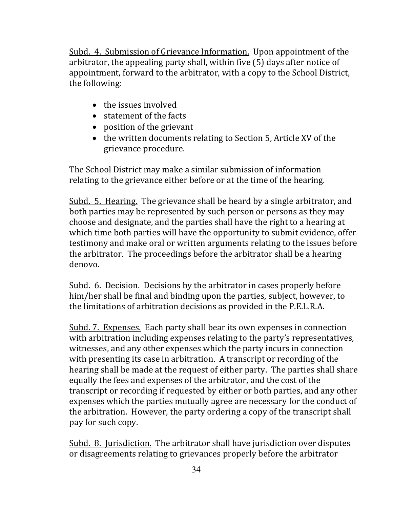Subd. 4. Submission of Grievance Information. Upon appointment of the arbitrator, the appealing party shall, within five (5) days after notice of appointment, forward to the arbitrator, with a copy to the School District, the following:

- the issues involved
- statement of the facts
- position of the grievant
- the written documents relating to Section 5, Article XV of the grievance procedure.

The School District may make a similar submission of information relating to the grievance either before or at the time of the hearing.

Subd. 5. Hearing. The grievance shall be heard by a single arbitrator, and both parties may be represented by such person or persons as they may choose and designate, and the parties shall have the right to a hearing at which time both parties will have the opportunity to submit evidence, offer testimony and make oral or written arguments relating to the issues before the arbitrator. The proceedings before the arbitrator shall be a hearing denovo.

Subd. 6. Decision. Decisions by the arbitrator in cases properly before him/her shall be final and binding upon the parties, subject, however, to the limitations of arbitration decisions as provided in the P.E.L.R.A.

Subd. 7. Expenses. Each party shall bear its own expenses in connection with arbitration including expenses relating to the party's representatives, witnesses, and any other expenses which the party incurs in connection with presenting its case in arbitration. A transcript or recording of the hearing shall be made at the request of either party. The parties shall share equally the fees and expenses of the arbitrator, and the cost of the transcript or recording if requested by either or both parties, and any other expenses which the parties mutually agree are necessary for the conduct of the arbitration. However, the party ordering a copy of the transcript shall pay for such copy.

Subd. 8. Jurisdiction. The arbitrator shall have jurisdiction over disputes or disagreements relating to grievances properly before the arbitrator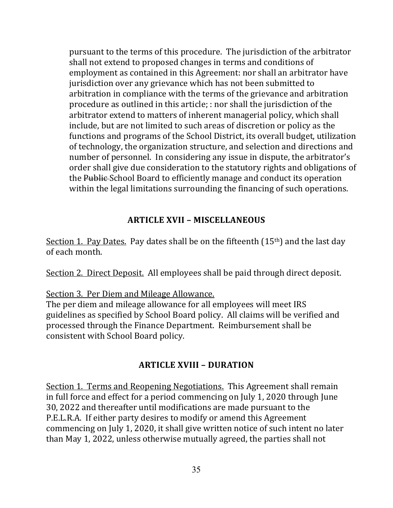pursuant to the terms of this procedure. The jurisdiction of the arbitrator shall not extend to proposed changes in terms and conditions of employment as contained in this Agreement: nor shall an arbitrator have jurisdiction over any grievance which has not been submitted to arbitration in compliance with the terms of the grievance and arbitration procedure as outlined in this article; : nor shall the jurisdiction of the arbitrator extend to matters of inherent managerial policy, which shall include, but are not limited to such areas of discretion or policy as the functions and programs of the School District, its overall budget, utilization of technology, the organization structure, and selection and directions and number of personnel. In considering any issue in dispute, the arbitrator's order shall give due consideration to the statutory rights and obligations of the Public School Board to efficiently manage and conduct its operation within the legal limitations surrounding the financing of such operations.

## **ARTICLE XVII – MISCELLANEOUS**

Section 1. Pay Dates. Pay dates shall be on the fifteenth  $(15<sup>th</sup>)$  and the last day of each month.

Section 2. Direct Deposit. All employees shall be paid through direct deposit.

## Section 3. Per Diem and Mileage Allowance.

The per diem and mileage allowance for all employees will meet IRS guidelines as specified by School Board policy. All claims will be verified and processed through the Finance Department. Reimbursement shall be consistent with School Board policy.

## **ARTICLE XVIII – DURATION**

Section 1. Terms and Reopening Negotiations. This Agreement shall remain in full force and effect for a period commencing on July 1, 2020 through June 30, 2022 and thereafter until modifications are made pursuant to the P.E.L.R.A. If either party desires to modify or amend this Agreement commencing on July 1, 2020, it shall give written notice of such intent no later than May 1, 2022, unless otherwise mutually agreed, the parties shall not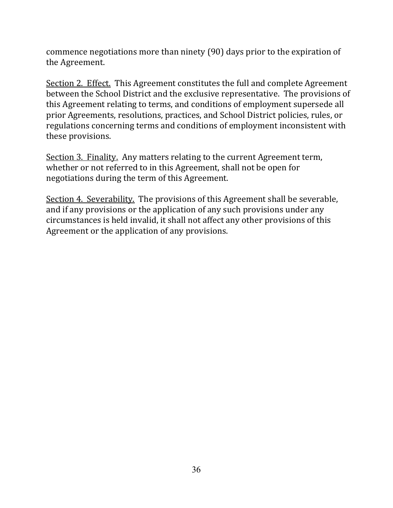commence negotiations more than ninety (90) days prior to the expiration of the Agreement.

Section 2. Effect. This Agreement constitutes the full and complete Agreement between the School District and the exclusive representative. The provisions of this Agreement relating to terms, and conditions of employment supersede all prior Agreements, resolutions, practices, and School District policies, rules, or regulations concerning terms and conditions of employment inconsistent with these provisions.

Section 3. Finality. Any matters relating to the current Agreement term, whether or not referred to in this Agreement, shall not be open for negotiations during the term of this Agreement.

Section 4. Severability. The provisions of this Agreement shall be severable, and if any provisions or the application of any such provisions under any circumstances is held invalid, it shall not affect any other provisions of this Agreement or the application of any provisions.